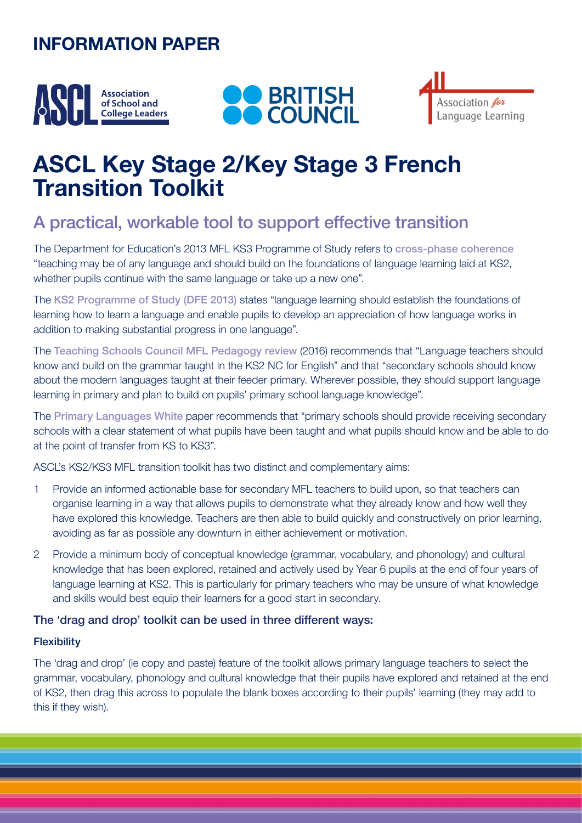# **INFORMATION PAPER**







# **ASCL Key Stage 2/Key Stage 3 French Transition Toolkit**

### A practical, workable tool to support effective transition

The Department for Education's 2013 MFL KS3 Programme of Study refers to [cross-phase coherence](https://assets.publishing.service.gov.uk/government/uploads/system/uploads/attachment_data/file/239083/SECONDARY_national_curriculum_-_Languages.pdf) "teaching may be of any language and should build on the foundations of language learning laid at KS2, whether pupils continue with the same language or take up a new one".

The [KS2 Programme of Study \(DFE 2013\)](https://www.gov.uk/government/publications/national-curriculum-in-england-languages-progammes-of-study) states "language learning should establish the foundations of learning how to learn a language and enable pupils to develop an appreciation of how language works in addition to making substantial progress in one language".

The [Teaching Schools Council MFL Pedagogy review](https://tscouncil.org.uk/wp-content/uploads/2016/12/MFL-Pedagogy-Review-Report-2.pdf) (2016) recommends that "Language teachers should know and build on the grammar taught in the KS2 NC for English" and that "secondary schools should know about the modern languages taught at their feeder primary. Wherever possible, they should support language learning in primary and plan to build on pupils' primary school language knowledge".

The [Primary Languages White](http://www.ripl.uk/wp-content/uploads/2019/02/RIPL-White-Paper-Primary-Languages-Policy-in-England.pdf) paper recommends that "primary schools should provide receiving secondary schools with a clear statement of what pupils have been taught and what pupils should know and be able to do at the point of transfer from KS to KS3".

ASCL's KS2/KS3 MFL transition toolkit has two distinct and complementary aims:

- 1 Provide an informed actionable base for secondary MFL teachers to build upon, so that teachers can organise learning in a way that allows pupils to demonstrate what they already know and how well they have explored this knowledge. Teachers are then able to build quickly and constructively on prior learning, avoiding as far as possible any downturn in either achievement or motivation.
- 2 Provide a minimum body of conceptual knowledge (grammar, vocabulary, and phonology) and cultural knowledge that has been explored, retained and actively used by Year 6 pupils at the end of four years of language learning at KS2. This is particularly for primary teachers who may be unsure of what knowledge and skills would best equip their learners for a good start in secondary.

#### The 'drag and drop' toolkit can be used in three different ways:

#### **Flexibility**

The 'drag and drop' (ie copy and paste) feature of the toolkit allows primary language teachers to select the grammar, vocabulary, phonology and cultural knowledge that their pupils have explored and retained at the end of KS2, then drag this across to populate the blank boxes according to their pupils' learning (they may add to this if they wish).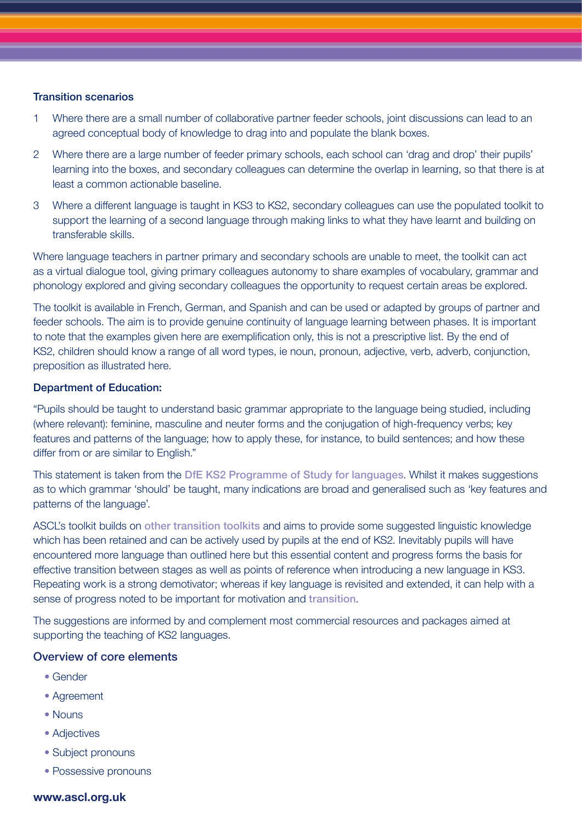#### Transition scenarios

- 1 Where there are a small number of collaborative partner feeder schools, joint discussions can lead to an agreed conceptual body of knowledge to drag into and populate the blank boxes.
- 2 Where there are a large number of feeder primary schools, each school can 'drag and drop' their pupils' learning into the boxes, and secondary colleagues can determine the overlap in learning, so that there is at least a common actionable baseline.
- 3 Where a different language is taught in KS3 to KS2, secondary colleagues can use the populated toolkit to support the learning of a second language through making links to what they have learnt and building on transferable skills.

Where language teachers in partner primary and secondary schools are unable to meet, the toolkit can act as a virtual dialogue tool, giving primary colleagues autonomy to share examples of vocabulary, grammar and phonology explored and giving secondary colleagues the opportunity to request certain areas be explored.

The toolkit is available in French, German, and Spanish and can be used or adapted by groups of partner and feeder schools. The aim is to provide genuine continuity of language learning between phases. It is important to note that the examples given here are exemplification only, this is not a prescriptive list. By the end of KS2, children should know a range of all word types, ie noun, pronoun, adjective, verb, adverb, conjunction, preposition as illustrated here.

#### Department of Education:

"Pupils should be taught to understand basic grammar appropriate to the language being studied, including (where relevant): feminine, masculine and neuter forms and the conjugation of high-frequency verbs; key features and patterns of the language; how to apply these, for instance, to build sentences; and how these differ from or are similar to English."

This statement is taken from the [DfE KS2 Programme of Study for languages](https://www.gov.uk/government/publications/national-curriculum-in-england-languages-progammes-of-study). Whilst it makes suggestions as to which grammar 'should' be taught, many indications are broad and generalised such as 'key features and patterns of the language'.

ASCL's toolkit builds on [other transition toolkits](https://www.all-languages.org.uk/wp-content/uploads/2016/04/Transition-Toolkit.pdf) and aims to provide some suggested linguistic knowledge which has been retained and can be actively used by pupils at the end of KS2. Inevitably pupils will have encountered more language than outlined here but this essential content and progress forms the basis for effective transition between stages as well as points of reference when introducing a new language in KS3. Repeating work is a strong demotivator; whereas if key language is revisited and extended, it can help with a sense of progress noted to be important for motivation and [transition](http://www.ripl.uk/wp-content/uploads/2020/04/OASIS_Summary_Graham_et_al._2016-5.pdf).

The suggestions are informed by and complement most commercial resources and packages aimed at supporting the teaching of KS2 languages.

#### Overview of core elements

- Gender
- Agreement
- Nouns
- Adjectives
- Subject pronouns
- Possessive pronouns

#### **www.ascl.org.uk**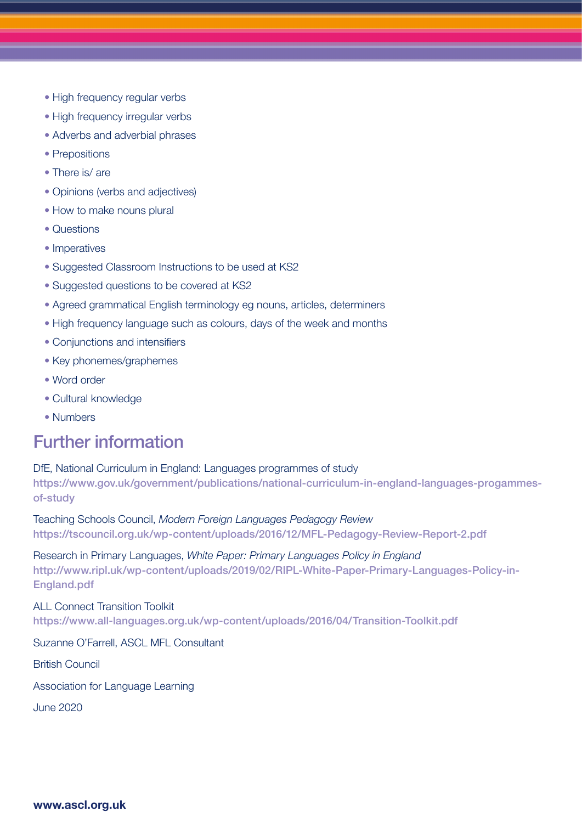- High frequency regular verbs
- High frequency irregular verbs
- Adverbs and adverbial phrases
- Prepositions
- There is/are
- Opinions (verbs and adjectives)
- How to make nouns plural
- Questions
- Imperatives
- Suggested Classroom Instructions to be used at KS2
- Suggested questions to be covered at KS2
- Agreed grammatical English terminology eg nouns, articles, determiners
- High frequency language such as colours, days of the week and months
- Conjunctions and intensifiers
- Key phonemes/graphemes
- Word order
- Cultural knowledge
- Numbers

### Further information

DfE, National Curriculum in England: Languages programmes of study https://www.gov.uk/government/publications/national-curriculum-in-england-languages-progammesof-study

Teaching Schools Council, *Modern Foreign Languages Pedagogy Review* https://tscouncil.org.uk/wp-content/uploads/2016/12/MFL-Pedagogy-Review-Report-2.pdf

Research in Primary Languages, *White Paper: Primary Languages Policy in England* http://www.ripl.uk/wp-content/uploads/2019/02/RIPL-White-Paper-Primary-Languages-Policy-in-England.pdf

ALL Connect Transition Toolkit https://www.all-languages.org.uk/wp-content/uploads/2016/04/Transition-Toolkit.pdf

Suzanne O'Farrell, ASCL MFL Consultant

British Council

Association for Language Learning

June 2020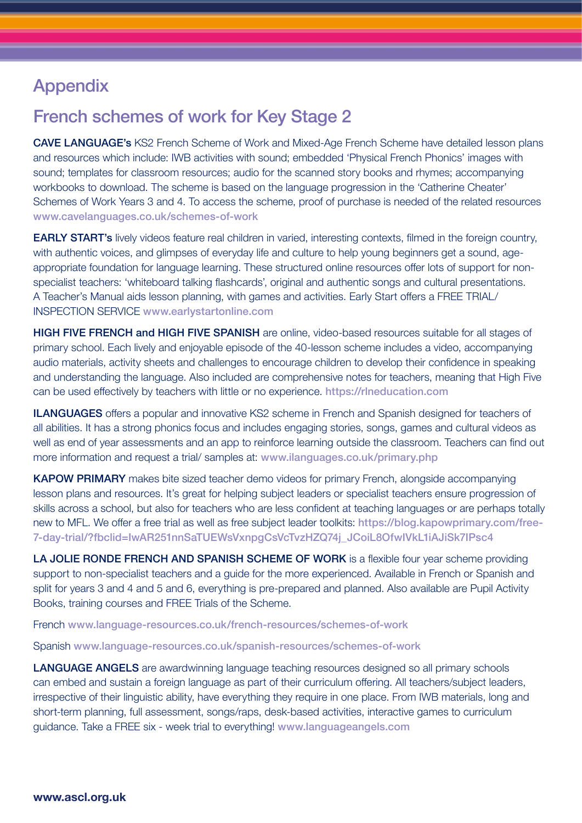# Appendix

### French schemes of work for Key Stage 2

CAVE LANGUAGE's KS2 French Scheme of Work and Mixed-Age French Scheme have detailed lesson plans and resources which include: IWB activities with sound; embedded 'Physical French Phonics' images with sound; templates for classroom resources; audio for the scanned story books and rhymes; accompanying workbooks to download. The scheme is based on the language progression in the 'Catherine Cheater' Schemes of Work Years 3 and 4. To access the scheme, proof of purchase is needed of the related resources www.cavelanguages.co.uk/schemes-of-work

**EARLY START's** lively videos feature real children in varied, interesting contexts, filmed in the foreign country, with authentic voices, and glimpses of everyday life and culture to help young beginners get a sound, ageappropriate foundation for language learning. These structured online resources offer lots of support for nonspecialist teachers: 'whiteboard talking flashcards', original and authentic songs and cultural presentations. A Teacher's Manual aids lesson planning, with games and activities. Early Start offers a FREE TRIAL/ INSPECTION SERVICE www.earlystartonline.com

HIGH FIVE FRENCH and HIGH FIVE SPANISH are online, video-based resources suitable for all stages of primary school. Each lively and enjoyable episode of the 40-lesson scheme includes a video, accompanying audio materials, activity sheets and challenges to encourage children to develop their confidence in speaking and understanding the language. Also included are comprehensive notes for teachers, meaning that High Five can be used effectively by teachers with little or no experience. https://rlneducation.com

**ILANGUAGES** offers a popular and innovative KS2 scheme in French and Spanish designed for teachers of all abilities. It has a strong phonics focus and includes engaging stories, songs, games and cultural videos as well as end of year assessments and an app to reinforce learning outside the classroom. Teachers can find out more information and request a trial/ samples at: www.ilanguages.co.uk/primary.php

KAPOW PRIMARY makes bite sized teacher demo videos for primary French, alongside accompanying lesson plans and resources. It's great for helping subject leaders or specialist teachers ensure progression of skills across a school, but also for teachers who are less confident at teaching languages or are perhaps totally new to MFL. We offer a free trial as well as free subject leader toolkits: https://blog.kapowprimary.com/free-7-day-trial/?fbclid=IwAR251nnSaTUEWsVxnpgCsVcTvzHZQ74j\_JCoiL8OfwIVkL1iAJiSk7IPsc4

LA JOLIE RONDE FRENCH AND SPANISH SCHEME OF WORK is a flexible four year scheme providing support to non-specialist teachers and a guide for the more experienced. Available in French or Spanish and split for years 3 and 4 and 5 and 6, everything is pre-prepared and planned. Also available are Pupil Activity Books, training courses and FREE Trials of the Scheme.

French www.language-resources.co.uk/french-resources/schemes-of-work

Spanish www.language-resources.co.uk/spanish-resources/schemes-of-work

LANGUAGE ANGELS are awardwinning language teaching resources designed so all primary schools can embed and sustain a foreign language as part of their curriculum offering. All teachers/subject leaders, irrespective of their linguistic ability, have everything they require in one place. From IWB materials, long and short-term planning, full assessment, songs/raps, desk-based activities, interactive games to curriculum guidance. Take a FREE six - week trial to everything! www.languageangels.com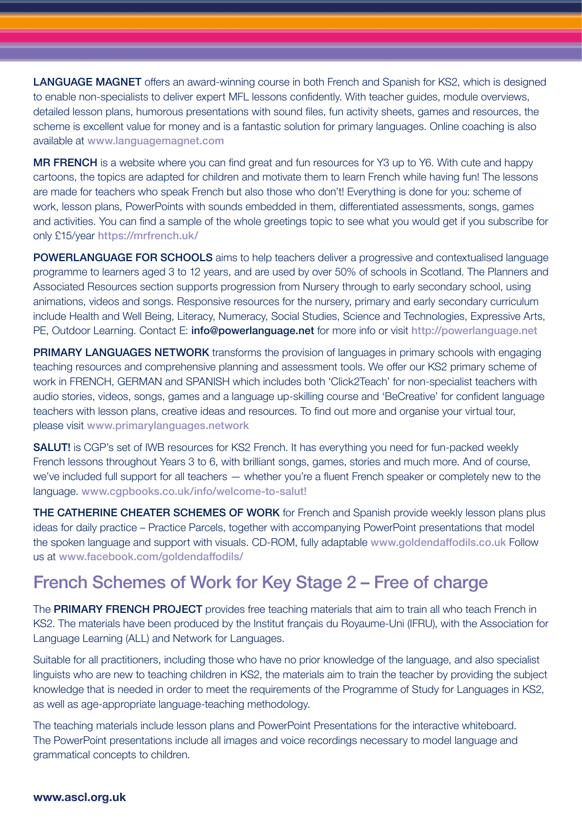LANGUAGE MAGNET offers an award-winning course in both French and Spanish for KS2, which is designed to enable non-specialists to deliver expert MFL lessons confidently. With teacher guides, module overviews, detailed lesson plans, humorous presentations with sound files, fun activity sheets, games and resources, the scheme is excellent value for money and is a fantastic solution for primary languages. Online coaching is also available at www.languagemagnet.com

MR FRENCH is a website where you can find great and fun resources for Y3 up to Y6. With cute and happy cartoons, the topics are adapted for children and motivate them to learn French while having fun! The lessons are made for teachers who speak French but also those who don't! Everything is done for you: scheme of work, lesson plans, PowerPoints with sounds embedded in them, differentiated assessments, songs, games and activities. You can find a sample of the whole greetings topic to see what you would get if you subscribe for only £15/year https://mrfrench.uk/

POWERLANGUAGE FOR SCHOOLS aims to help teachers deliver a progressive and contextualised language programme to learners aged 3 to 12 years, and are used by over 50% of schools in Scotland. The Planners and Associated Resources section supports progression from Nursery through to early secondary school, using animations, videos and songs. Responsive resources for the nursery, primary and early secondary curriculum include Health and Well Being, Literacy, Numeracy, Social Studies, Science and Technologies, Expressive Arts, PE, Outdoor Learning. Contact E: info@powerlanguage.net for more info or visit [http://powerlanguage.net](http://powerlanguage.net
)

**PRIMARY LANGUAGES NETWORK** transforms the provision of languages in primary schools with engaging teaching resources and comprehensive planning and assessment tools. We offer our KS2 primary scheme of work in FRENCH, GERMAN and SPANISH which includes both 'Click2Teach' for non-specialist teachers with audio stories, videos, songs, games and a language up-skilling course and 'BeCreative' for confident language teachers with lesson plans, creative ideas and resources. To find out more and organise your virtual tour, please visit www.primarylanguages.network

**SALUT!** is CGP's set of IWB resources for KS2 French. It has everything you need for fun-packed weekly French lessons throughout Years 3 to 6, with brilliant songs, games, stories and much more. And of course, we've included full support for all teachers — whether you're a fluent French speaker or completely new to the language. www.cgpbooks.co.uk/info/welcome-to-salut!

**THE CATHERINE CHEATER SCHEMES OF WORK** for French and Spanish provide weekly lesson plans plus ideas for daily practice – Practice Parcels, together with accompanying PowerPoint presentations that model the spoken language and support with visuals. CD-ROM, fully adaptable www.goldendaffodils.co.uk Follow us at www.facebook.com/goldendaffodils/

### French Schemes of Work for Key Stage 2 – Free of charge

The PRIMARY FRENCH PROJECT provides free teaching materials that aim to train all who teach French in KS2. The materials have been produced by the Institut français du Royaume-Uni (IFRU), with the Association for Language Learning (ALL) and Network for Languages.

Suitable for all practitioners, including those who have no prior knowledge of the language, and also specialist linguists who are new to teaching children in KS2, the materials aim to train the teacher by providing the subject knowledge that is needed in order to meet the requirements of the Programme of Study for Languages in KS2, as well as age-appropriate language-teaching methodology.

The teaching materials include lesson plans and PowerPoint Presentations for the interactive whiteboard. The PowerPoint presentations include all images and voice recordings necessary to model language and grammatical concepts to children.

#### **www.ascl.org.uk**